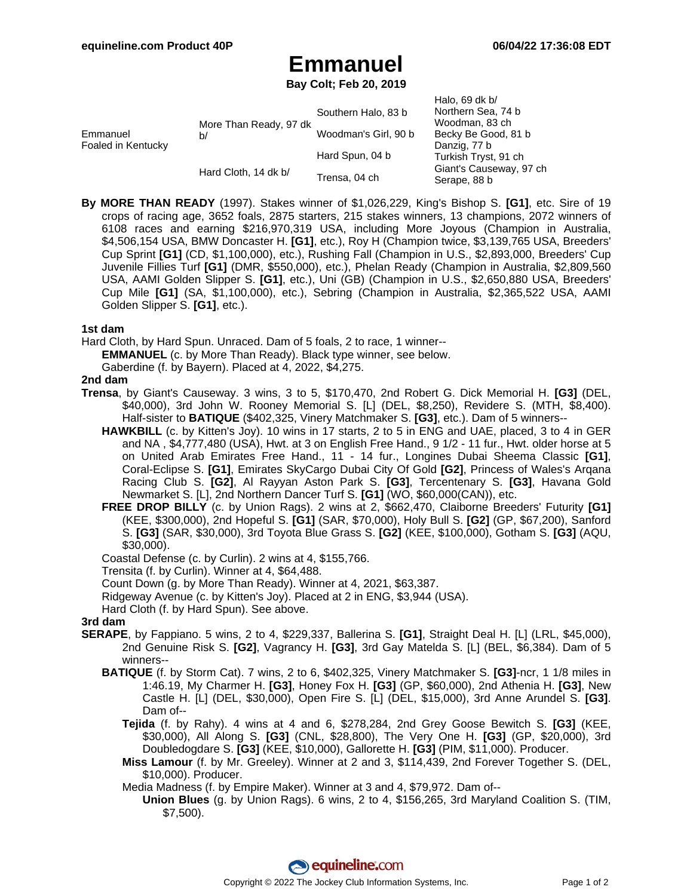# **Emmanuel**

**Bay Colt; Feb 20, 2019**

|                                |                              |                      | Halo, 69 dk $b/$        |
|--------------------------------|------------------------------|----------------------|-------------------------|
| Emmanuel<br>Foaled in Kentucky | More Than Ready, 97 dk<br>b/ | Southern Halo, 83 b  | Northern Sea, 74 b      |
|                                |                              |                      | Woodman, 83 ch          |
|                                |                              | Woodman's Girl, 90 b | Becky Be Good, 81 b     |
|                                |                              |                      | Danzig, 77 b            |
|                                |                              | Hard Spun, 04 b      | Turkish Tryst, 91 ch    |
|                                | Hard Cloth, 14 dk b/         | Trensa, 04 ch        | Giant's Causeway, 97 ch |
|                                |                              |                      | Serape, 88 b            |

**By MORE THAN READY** (1997). Stakes winner of \$1,026,229, King's Bishop S. **[G1]**, etc. Sire of 19 crops of racing age, 3652 foals, 2875 starters, 215 stakes winners, 13 champions, 2072 winners of 6108 races and earning \$216,970,319 USA, including More Joyous (Champion in Australia, \$4,506,154 USA, BMW Doncaster H. **[G1]**, etc.), Roy H (Champion twice, \$3,139,765 USA, Breeders' Cup Sprint **[G1]** (CD, \$1,100,000), etc.), Rushing Fall (Champion in U.S., \$2,893,000, Breeders' Cup Juvenile Fillies Turf **[G1]** (DMR, \$550,000), etc.), Phelan Ready (Champion in Australia, \$2,809,560 USA, AAMI Golden Slipper S. **[G1]**, etc.), Uni (GB) (Champion in U.S., \$2,650,880 USA, Breeders' Cup Mile **[G1]** (SA, \$1,100,000), etc.), Sebring (Champion in Australia, \$2,365,522 USA, AAMI Golden Slipper S. **[G1]**, etc.).

#### **1st dam**

Hard Cloth, by Hard Spun. Unraced. Dam of 5 foals, 2 to race, 1 winner--

**EMMANUEL** (c. by More Than Ready). Black type winner, see below.

Gaberdine (f. by Bayern). Placed at 4, 2022, \$4,275.

#### **2nd dam**

- **Trensa**, by Giant's Causeway. 3 wins, 3 to 5, \$170,470, 2nd Robert G. Dick Memorial H. **[G3]** (DEL, \$40,000), 3rd John W. Rooney Memorial S. [L] (DEL, \$8,250), Revidere S. (MTH, \$8,400). Half-sister to **BATIQUE** (\$402,325, Vinery Matchmaker S. **[G3]**, etc.). Dam of 5 winners--
	- **HAWKBILL** (c. by Kitten's Joy). 10 wins in 17 starts, 2 to 5 in ENG and UAE, placed, 3 to 4 in GER and NA , \$4,777,480 (USA), Hwt. at 3 on English Free Hand., 9 1/2 - 11 fur., Hwt. older horse at 5 on United Arab Emirates Free Hand., 11 - 14 fur., Longines Dubai Sheema Classic **[G1]**, Coral-Eclipse S. **[G1]**, Emirates SkyCargo Dubai City Of Gold **[G2]**, Princess of Wales's Arqana Racing Club S. **[G2]**, Al Rayyan Aston Park S. **[G3]**, Tercentenary S. **[G3]**, Havana Gold Newmarket S. [L], 2nd Northern Dancer Turf S. **[G1]** (WO, \$60,000(CAN)), etc.
	- **FREE DROP BILLY** (c. by Union Rags). 2 wins at 2, \$662,470, Claiborne Breeders' Futurity **[G1]** (KEE, \$300,000), 2nd Hopeful S. **[G1]** (SAR, \$70,000), Holy Bull S. **[G2]** (GP, \$67,200), Sanford S. **[G3]** (SAR, \$30,000), 3rd Toyota Blue Grass S. **[G2]** (KEE, \$100,000), Gotham S. **[G3]** (AQU, \$30,000).

Coastal Defense (c. by Curlin). 2 wins at 4, \$155,766.

Trensita (f. by Curlin). Winner at 4, \$64,488.

Count Down (g. by More Than Ready). Winner at 4, 2021, \$63,387.

Ridgeway Avenue (c. by Kitten's Joy). Placed at 2 in ENG, \$3,944 (USA).

Hard Cloth (f. by Hard Spun). See above.

## **3rd dam**

- **SERAPE**, by Fappiano. 5 wins, 2 to 4, \$229,337, Ballerina S. **[G1]**, Straight Deal H. [L] (LRL, \$45,000), 2nd Genuine Risk S. **[G2]**, Vagrancy H. **[G3]**, 3rd Gay Matelda S. [L] (BEL, \$6,384). Dam of 5 winners--
	- **BATIQUE** (f. by Storm Cat). 7 wins, 2 to 6, \$402,325, Vinery Matchmaker S. **[G3]**-ncr, 1 1/8 miles in 1:46.19, My Charmer H. **[G3]**, Honey Fox H. **[G3]** (GP, \$60,000), 2nd Athenia H. **[G3]**, New Castle H. [L] (DEL, \$30,000), Open Fire S. [L] (DEL, \$15,000), 3rd Anne Arundel S. **[G3]**. Dam of--
		- **Tejida** (f. by Rahy). 4 wins at 4 and 6, \$278,284, 2nd Grey Goose Bewitch S. **[G3]** (KEE, \$30,000), All Along S. **[G3]** (CNL, \$28,800), The Very One H. **[G3]** (GP, \$20,000), 3rd Doubledogdare S. **[G3]** (KEE, \$10,000), Gallorette H. **[G3]** (PIM, \$11,000). Producer.
		- **Miss Lamour** (f. by Mr. Greeley). Winner at 2 and 3, \$114,439, 2nd Forever Together S. (DEL, \$10,000). Producer.

Media Madness (f. by Empire Maker). Winner at 3 and 4, \$79,972. Dam of--

**Union Blues** (g. by Union Rags). 6 wins, 2 to 4, \$156,265, 3rd Maryland Coalition S. (TIM, \$7,500).